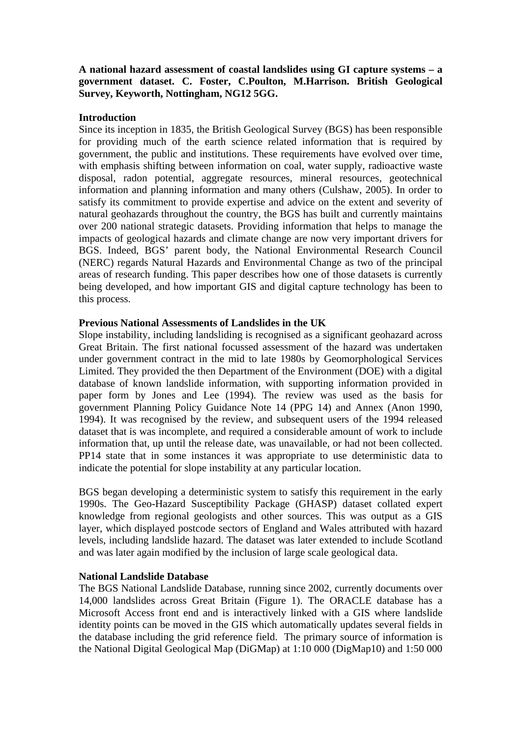## **A national hazard assessment of coastal landslides using GI capture systems – a government dataset. C. Foster, C.Poulton, M.Harrison. British Geological Survey, Keyworth, Nottingham, NG12 5GG.**

#### **Introduction**

Since its inception in 1835, the British Geological Survey (BGS) has been responsible for providing much of the earth science related information that is required by government, the public and institutions. These requirements have evolved over time, with emphasis shifting between information on coal, water supply, radioactive waste disposal, radon potential, aggregate resources, mineral resources, geotechnical information and planning information and many others (Culshaw, 2005). In order to satisfy its commitment to provide expertise and advice on the extent and severity of natural geohazards throughout the country, the BGS has built and currently maintains over 200 national strategic datasets. Providing information that helps to manage the impacts of geological hazards and climate change are now very important drivers for BGS. Indeed, BGS' parent body, the National Environmental Research Council (NERC) regards Natural Hazards and Environmental Change as two of the principal areas of research funding. This paper describes how one of those datasets is currently being developed, and how important GIS and digital capture technology has been to this process.

### **Previous National Assessments of Landslides in the UK**

Slope instability, including landsliding is recognised as a significant geohazard across Great Britain. The first national focussed assessment of the hazard was undertaken under government contract in the mid to late 1980s by Geomorphological Services Limited. They provided the then Department of the Environment (DOE) with a digital database of known landslide information, with supporting information provided in paper form by Jones and Lee (1994). The review was used as the basis for government Planning Policy Guidance Note 14 (PPG 14) and Annex (Anon 1990, 1994). It was recognised by the review, and subsequent users of the 1994 released dataset that is was incomplete, and required a considerable amount of work to include information that, up until the release date, was unavailable, or had not been collected. PP14 state that in some instances it was appropriate to use deterministic data to indicate the potential for slope instability at any particular location.

BGS began developing a deterministic system to satisfy this requirement in the early 1990s. The Geo-Hazard Susceptibility Package (GHASP) dataset collated expert knowledge from regional geologists and other sources. This was output as a GIS layer, which displayed postcode sectors of England and Wales attributed with hazard levels, including landslide hazard. The dataset was later extended to include Scotland and was later again modified by the inclusion of large scale geological data.

## **National Landslide Database**

The BGS National Landslide Database, running since 2002, currently documents over 14,000 landslides across Great Britain (Figure 1). The ORACLE database has a Microsoft Access front end and is interactively linked with a GIS where landslide identity points can be moved in the GIS which automatically updates several fields in the database including the grid reference field. The primary source of information is the National Digital Geological Map (DiGMap) at 1:10 000 (DigMap10) and 1:50 000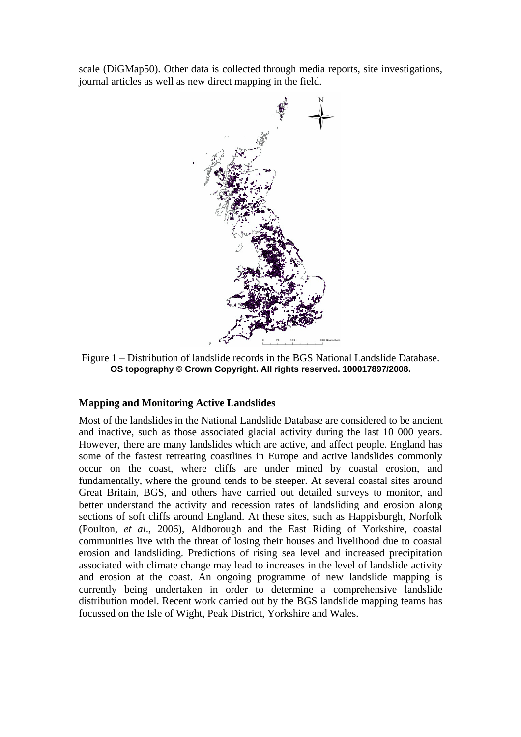scale (DiGMap50). Other data is collected through media reports, site investigations, journal articles as well as new direct mapping in the field.



Figure 1 – Distribution of landslide records in the BGS National Landslide Database. **OS topography © Crown Copyright. All rights reserved. 100017897/2008.** 

## **Mapping and Monitoring Active Landslides**

Most of the landslides in the National Landslide Database are considered to be ancient and inactive, such as those associated glacial activity during the last 10 000 years. However, there are many landslides which are active, and affect people. England has some of the fastest retreating coastlines in Europe and active landslides commonly occur on the coast, where cliffs are under mined by coastal erosion, and fundamentally, where the ground tends to be steeper. At several coastal sites around Great Britain, BGS, and others have carried out detailed surveys to monitor, and better understand the activity and recession rates of landsliding and erosion along sections of soft cliffs around England. At these sites, such as Happisburgh, Norfolk (Poulton, *et al*., 2006), Aldborough and the East Riding of Yorkshire, coastal communities live with the threat of losing their houses and livelihood due to coastal erosion and landsliding. Predictions of rising sea level and increased precipitation associated with climate change may lead to increases in the level of landslide activity and erosion at the coast. An ongoing programme of new landslide mapping is currently being undertaken in order to determine a comprehensive landslide distribution model. Recent work carried out by the BGS landslide mapping teams has focussed on the Isle of Wight, Peak District, Yorkshire and Wales.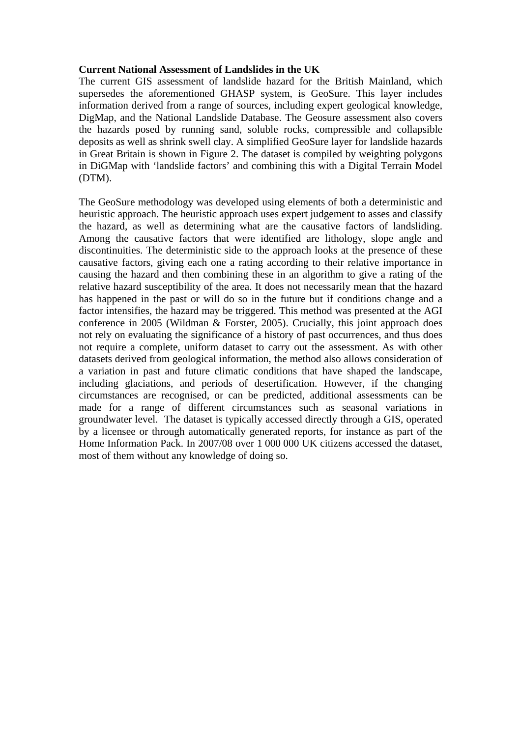### **Current National Assessment of Landslides in the UK**

The current GIS assessment of landslide hazard for the British Mainland, which supersedes the aforementioned GHASP system, is GeoSure. This layer includes information derived from a range of sources, including expert geological knowledge, DigMap, and the National Landslide Database. The Geosure assessment also covers the hazards posed by running sand, soluble rocks, compressible and collapsible deposits as well as shrink swell clay. A simplified GeoSure layer for landslide hazards in Great Britain is shown in Figure 2. The dataset is compiled by weighting polygons in DiGMap with 'landslide factors' and combining this with a Digital Terrain Model (DTM).

The GeoSure methodology was developed using elements of both a deterministic and heuristic approach. The heuristic approach uses expert judgement to asses and classify the hazard, as well as determining what are the causative factors of landsliding. Among the causative factors that were identified are lithology, slope angle and discontinuities. The deterministic side to the approach looks at the presence of these causative factors, giving each one a rating according to their relative importance in causing the hazard and then combining these in an algorithm to give a rating of the relative hazard susceptibility of the area. It does not necessarily mean that the hazard has happened in the past or will do so in the future but if conditions change and a factor intensifies, the hazard may be triggered. This method was presented at the AGI conference in 2005 (Wildman & Forster, 2005). Crucially, this joint approach does not rely on evaluating the significance of a history of past occurrences, and thus does not require a complete, uniform dataset to carry out the assessment. As with other datasets derived from geological information, the method also allows consideration of a variation in past and future climatic conditions that have shaped the landscape, including glaciations, and periods of desertification. However, if the changing circumstances are recognised, or can be predicted, additional assessments can be made for a range of different circumstances such as seasonal variations in groundwater level. The dataset is typically accessed directly through a GIS, operated by a licensee or through automatically generated reports, for instance as part of the Home Information Pack. In 2007/08 over 1 000 000 UK citizens accessed the dataset, most of them without any knowledge of doing so.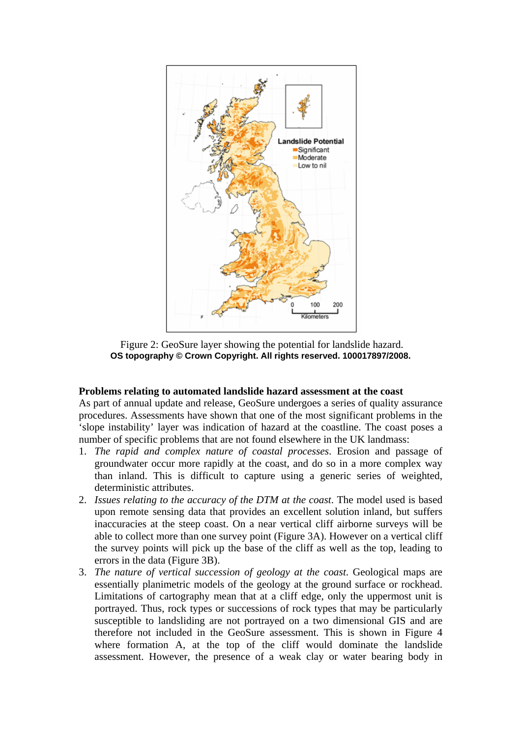

 Figure 2: GeoSure layer showing the potential for landslide hazard. **OS topography © Crown Copyright. All rights reserved. 100017897/2008.** 

#### **Problems relating to automated landslide hazard assessment at the coast**

As part of annual update and release, GeoSure undergoes a series of quality assurance procedures. Assessments have shown that one of the most significant problems in the 'slope instability' layer was indication of hazard at the coastline. The coast poses a number of specific problems that are not found elsewhere in the UK landmass:

- 1. *The rapid and complex nature of coastal processes*. Erosion and passage of groundwater occur more rapidly at the coast, and do so in a more complex way than inland. This is difficult to capture using a generic series of weighted, deterministic attributes.
- 2. *Issues relating to the accuracy of the DTM at the coast*. The model used is based upon remote sensing data that provides an excellent solution inland, but suffers inaccuracies at the steep coast. On a near vertical cliff airborne surveys will be able to collect more than one survey point (Figure 3A). However on a vertical cliff the survey points will pick up the base of the cliff as well as the top, leading to errors in the data (Figure 3B).
- 3. *The nature of vertical succession of geology at the coast*. Geological maps are essentially planimetric models of the geology at the ground surface or rockhead. Limitations of cartography mean that at a cliff edge, only the uppermost unit is portrayed. Thus, rock types or successions of rock types that may be particularly susceptible to landsliding are not portrayed on a two dimensional GIS and are therefore not included in the GeoSure assessment. This is shown in Figure 4 where formation A, at the top of the cliff would dominate the landslide assessment. However, the presence of a weak clay or water bearing body in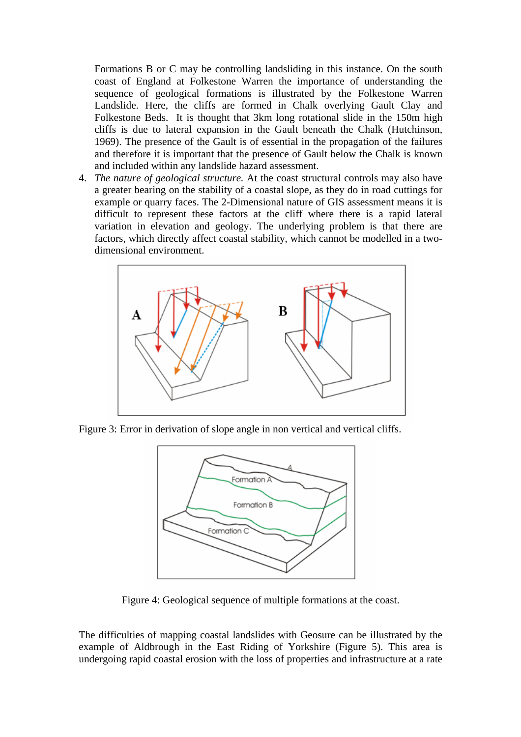Formations B or C may be controlling landsliding in this instance. On the south coast of England at Folkestone Warren the importance of understanding the sequence of geological formations is illustrated by the Folkestone Warren Landslide. Here, the cliffs are formed in Chalk overlying Gault Clay and Folkestone Beds. It is thought that 3km long rotational slide in the 150m high cliffs is due to lateral expansion in the Gault beneath the Chalk (Hutchinson, 1969). The presence of the Gault is of essential in the propagation of the failures and therefore it is important that the presence of Gault below the Chalk is known and included within any landslide hazard assessment.

4. *The nature of geological structure.* At the coast structural controls may also have a greater bearing on the stability of a coastal slope, as they do in road cuttings for example or quarry faces. The 2-Dimensional nature of GIS assessment means it is difficult to represent these factors at the cliff where there is a rapid lateral variation in elevation and geology. The underlying problem is that there are factors, which directly affect coastal stability, which cannot be modelled in a twodimensional environment.



Figure 3: Error in derivation of slope angle in non vertical and vertical cliffs.



Figure 4: Geological sequence of multiple formations at the coast.

The difficulties of mapping coastal landslides with Geosure can be illustrated by the example of Aldbrough in the East Riding of Yorkshire (Figure 5). This area is undergoing rapid coastal erosion with the loss of properties and infrastructure at a rate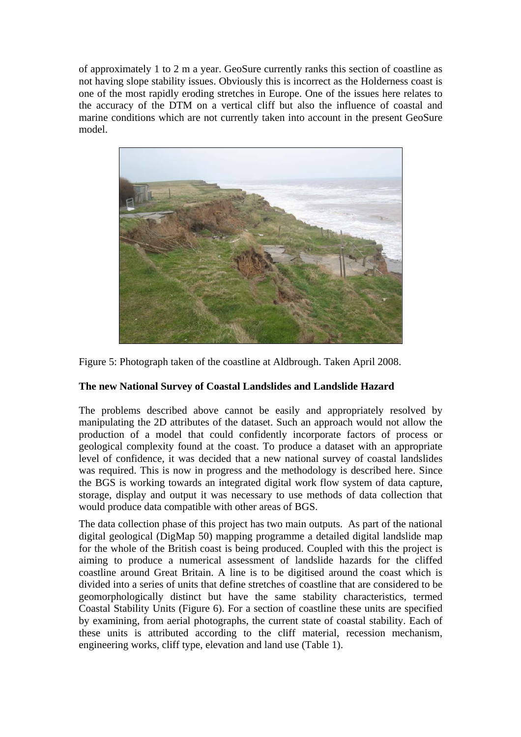of approximately 1 to 2 m a year. GeoSure currently ranks this section of coastline as not having slope stability issues. Obviously this is incorrect as the Holderness coast is one of the most rapidly eroding stretches in Europe. One of the issues here relates to the accuracy of the DTM on a vertical cliff but also the influence of coastal and marine conditions which are not currently taken into account in the present GeoSure model.



Figure 5: Photograph taken of the coastline at Aldbrough. Taken April 2008.

# **The new National Survey of Coastal Landslides and Landslide Hazard**

The problems described above cannot be easily and appropriately resolved by manipulating the 2D attributes of the dataset. Such an approach would not allow the production of a model that could confidently incorporate factors of process or geological complexity found at the coast. To produce a dataset with an appropriate level of confidence, it was decided that a new national survey of coastal landslides was required. This is now in progress and the methodology is described here. Since the BGS is working towards an integrated digital work flow system of data capture, storage, display and output it was necessary to use methods of data collection that would produce data compatible with other areas of BGS.

The data collection phase of this project has two main outputs. As part of the national digital geological (DigMap 50) mapping programme a detailed digital landslide map for the whole of the British coast is being produced. Coupled with this the project is aiming to produce a numerical assessment of landslide hazards for the cliffed coastline around Great Britain. A line is to be digitised around the coast which is divided into a series of units that define stretches of coastline that are considered to be geomorphologically distinct but have the same stability characteristics, termed Coastal Stability Units (Figure 6). For a section of coastline these units are specified by examining, from aerial photographs, the current state of coastal stability. Each of these units is attributed according to the cliff material, recession mechanism, engineering works, cliff type, elevation and land use (Table 1).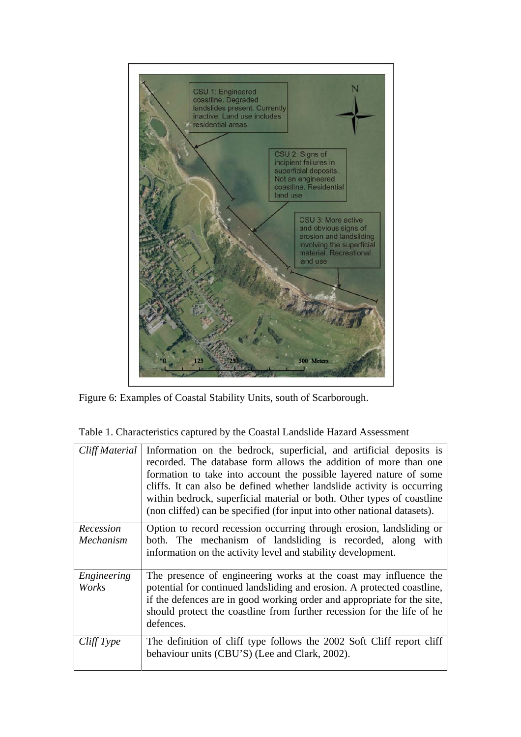

Figure 6: Examples of Coastal Stability Units, south of Scarborough.

| Cliff Material         | Information on the bedrock, superficial, and artificial deposits is<br>recorded. The database form allows the addition of more than one<br>formation to take into account the possible layered nature of some<br>cliffs. It can also be defined whether landslide activity is occurring<br>within bedrock, superficial material or both. Other types of coastline<br>(non cliffed) can be specified (for input into other national datasets). |
|------------------------|-----------------------------------------------------------------------------------------------------------------------------------------------------------------------------------------------------------------------------------------------------------------------------------------------------------------------------------------------------------------------------------------------------------------------------------------------|
| Recession<br>Mechanism | Option to record recession occurring through erosion, landsliding or<br>both. The mechanism of landsliding is recorded, along with<br>information on the activity level and stability development.                                                                                                                                                                                                                                            |
| Engineering<br>Works   | The presence of engineering works at the coast may influence the<br>potential for continued landsliding and erosion. A protected coastline,<br>if the defences are in good working order and appropriate for the site,<br>should protect the coastline from further recession for the life of he<br>defences.                                                                                                                                 |
| CliffType              | The definition of cliff type follows the 2002 Soft Cliff report cliff<br>behaviour units (CBU'S) (Lee and Clark, 2002).                                                                                                                                                                                                                                                                                                                       |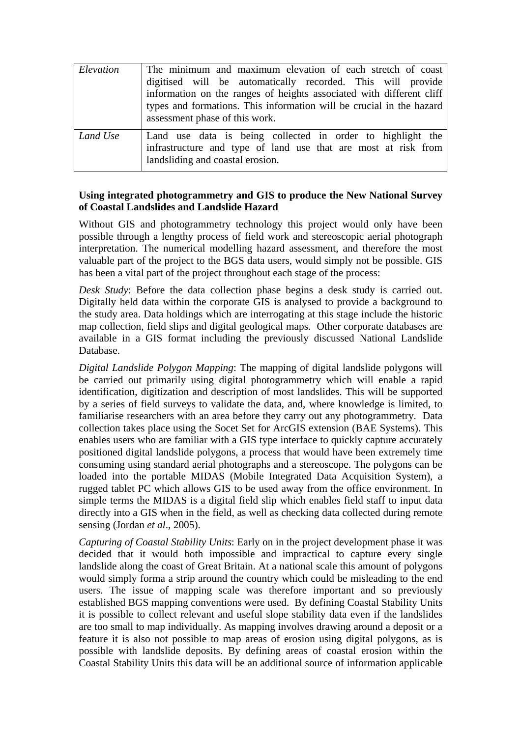| Elevation | The minimum and maximum elevation of each stretch of coast<br>digitised will be automatically recorded. This will provide<br>information on the ranges of heights associated with different cliff<br>types and formations. This information will be crucial in the hazard<br>assessment phase of this work. |
|-----------|-------------------------------------------------------------------------------------------------------------------------------------------------------------------------------------------------------------------------------------------------------------------------------------------------------------|
| Land Use  | Land use data is being collected in order to highlight the<br>infrastructure and type of land use that are most at risk from<br>landsliding and coastal erosion.                                                                                                                                            |

## **Using integrated photogrammetry and GIS to produce the New National Survey of Coastal Landslides and Landslide Hazard**

Without GIS and photogrammetry technology this project would only have been possible through a lengthy process of field work and stereoscopic aerial photograph interpretation. The numerical modelling hazard assessment, and therefore the most valuable part of the project to the BGS data users, would simply not be possible. GIS has been a vital part of the project throughout each stage of the process:

*Desk Study*: Before the data collection phase begins a desk study is carried out. Digitally held data within the corporate GIS is analysed to provide a background to the study area. Data holdings which are interrogating at this stage include the historic map collection, field slips and digital geological maps. Other corporate databases are available in a GIS format including the previously discussed National Landslide Database.

*Digital Landslide Polygon Mapping*: The mapping of digital landslide polygons will be carried out primarily using digital photogrammetry which will enable a rapid identification, digitization and description of most landslides. This will be supported by a series of field surveys to validate the data, and, where knowledge is limited, to familiarise researchers with an area before they carry out any photogrammetry. Data collection takes place using the Socet Set for ArcGIS extension (BAE Systems). This enables users who are familiar with a GIS type interface to quickly capture accurately positioned digital landslide polygons, a process that would have been extremely time consuming using standard aerial photographs and a stereoscope. The polygons can be loaded into the portable MIDAS (Mobile Integrated Data Acquisition System), a rugged tablet PC which allows GIS to be used away from the office environment. In simple terms the MIDAS is a digital field slip which enables field staff to input data directly into a GIS when in the field, as well as checking data collected during remote sensing (Jordan *et al*., 2005).

*Capturing of Coastal Stability Units*: Early on in the project development phase it was decided that it would both impossible and impractical to capture every single landslide along the coast of Great Britain. At a national scale this amount of polygons would simply forma a strip around the country which could be misleading to the end users. The issue of mapping scale was therefore important and so previously established BGS mapping conventions were used. By defining Coastal Stability Units it is possible to collect relevant and useful slope stability data even if the landslides are too small to map individually. As mapping involves drawing around a deposit or a feature it is also not possible to map areas of erosion using digital polygons, as is possible with landslide deposits. By defining areas of coastal erosion within the Coastal Stability Units this data will be an additional source of information applicable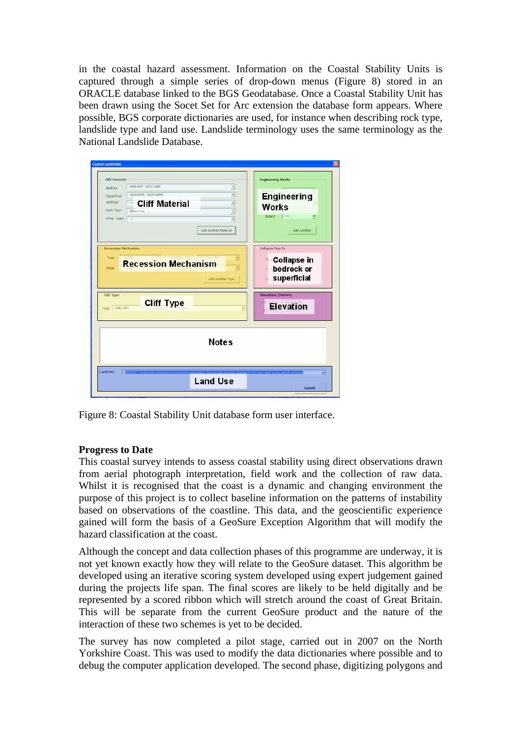in the coastal hazard assessment. Information on the Coastal Stability Units is captured through a simple series of drop-down menus (Figure 8) stored in an ORACLE database linked to the BGS Geodatabase. Once a Coastal Stability Unit has been drawn using the Socet Set for Arc extension the database form appears. Where possible, BGS corporate dictionaries are used, for instance when describing rock type, landslide type and land use. Landslide terminology uses the same terminology as the National Landslide Database.

| <b>Cliff Material</b><br>LNAB-SDST - LNCO-CGBR<br>Bedrock                                                                                                                                                          | <b>Engineering Works</b>                                         |
|--------------------------------------------------------------------------------------------------------------------------------------------------------------------------------------------------------------------|------------------------------------------------------------------|
| TRIDE-COTTN - TRIDW-COTTN<br>$\cdot$<br>Superficial<br><b>Cliff Material</b><br>Artificial<br>$\overline{ }$<br>Sep.<br>Rock Type<br>$\ddot{}$<br><b>SALULUM</b><br>Other Types<br>$\star$<br>Add Another Material | <b>Engineering</b><br><b>Works</b><br>Extent<br>∙<br>Add Another |
| Recession Mechanism<br>킈<br>Type<br><b>Recession Mechanism</b><br>٠<br>Stage                                                                                                                                       | Collapse Due To<br><b>Collapse in</b><br>bedrock or              |
| Add Another Type                                                                                                                                                                                                   | superficial                                                      |
| <b>Cliff Type</b><br><b>Cliff Type</b><br><b>Relict Cliffs</b><br>Тури:                                                                                                                                            | <b>Elevations (Meters)</b><br><b>Elevation</b>                   |
| <b>Notes</b>                                                                                                                                                                                                       |                                                                  |

Figure 8: Coastal Stability Unit database form user interface.

# **Progress to Date**

This coastal survey intends to assess coastal stability using direct observations drawn from aerial photograph interpretation, field work and the collection of raw data. Whilst it is recognised that the coast is a dynamic and changing environment the purpose of this project is to collect baseline information on the patterns of instability based on observations of the coastline. This data, and the geoscientific experience gained will form the basis of a GeoSure Exception Algorithm that will modify the hazard classification at the coast.

Although the concept and data collection phases of this programme are underway, it is not yet known exactly how they will relate to the GeoSure dataset. This algorithm be developed using an iterative scoring system developed using expert judgement gained during the projects life span. The final scores are likely to be held digitally and be represented by a scored ribbon which will stretch around the coast of Great Britain. This will be separate from the current GeoSure product and the nature of the interaction of these two schemes is yet to be decided.

The survey has now completed a pilot stage, carried out in 2007 on the North Yorkshire Coast. This was used to modify the data dictionaries where possible and to debug the computer application developed. The second phase, digitizing polygons and